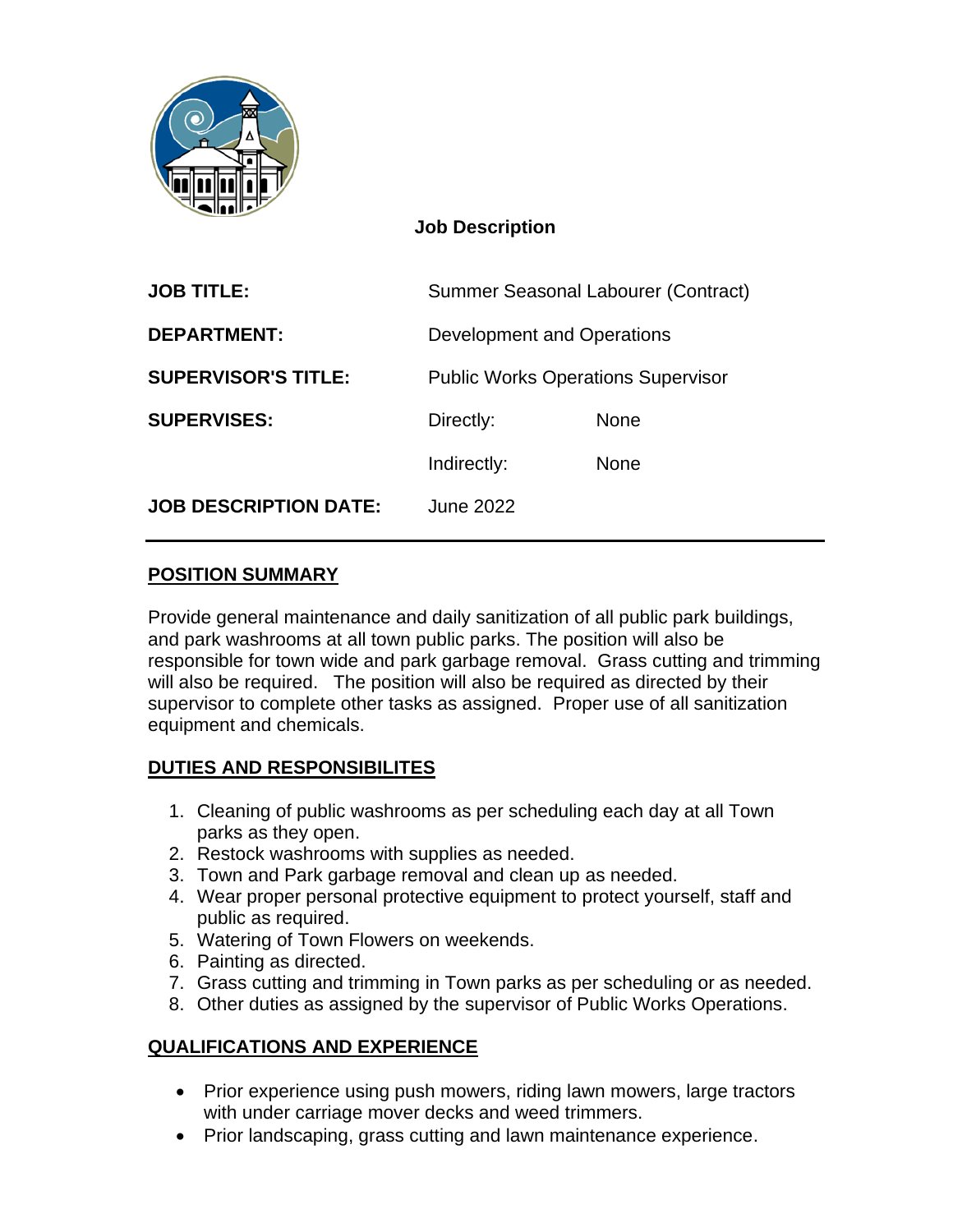

#### **Job Description**

| <b>JOB TITLE:</b>            | Summer Seasonal Labourer (Contract)       |             |
|------------------------------|-------------------------------------------|-------------|
| <b>DEPARTMENT:</b>           | Development and Operations                |             |
| <b>SUPERVISOR'S TITLE:</b>   | <b>Public Works Operations Supervisor</b> |             |
| <b>SUPERVISES:</b>           | Directly:                                 | <b>None</b> |
|                              | Indirectly:                               | <b>None</b> |
| <b>JOB DESCRIPTION DATE:</b> | June 2022                                 |             |
|                              |                                           |             |

#### **POSITION SUMMARY**

Provide general maintenance and daily sanitization of all public park buildings, and park washrooms at all town public parks. The position will also be responsible for town wide and park garbage removal. Grass cutting and trimming will also be required. The position will also be required as directed by their supervisor to complete other tasks as assigned. Proper use of all sanitization equipment and chemicals.

### **DUTIES AND RESPONSIBILITES**

- 1. Cleaning of public washrooms as per scheduling each day at all Town parks as they open.
- 2. Restock washrooms with supplies as needed.
- 3. Town and Park garbage removal and clean up as needed.
- 4. Wear proper personal protective equipment to protect yourself, staff and public as required.
- 5. Watering of Town Flowers on weekends.
- 6. Painting as directed.
- 7. Grass cutting and trimming in Town parks as per scheduling or as needed.
- 8. Other duties as assigned by the supervisor of Public Works Operations.

### **QUALIFICATIONS AND EXPERIENCE**

- Prior experience using push mowers, riding lawn mowers, large tractors with under carriage mover decks and weed trimmers.
- Prior landscaping, grass cutting and lawn maintenance experience.